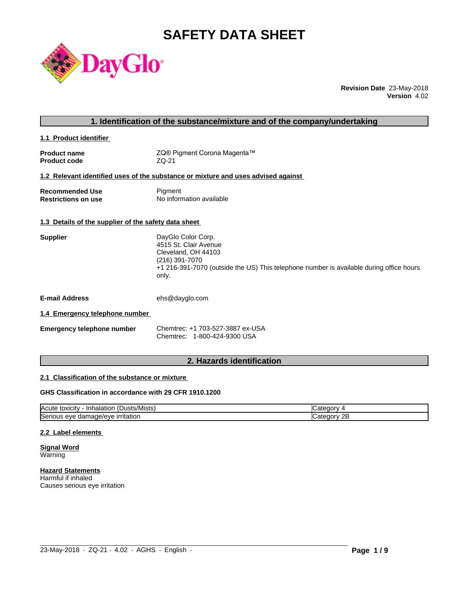# **SAFETY DATA SHEET**



**Revision Date** 23-May-2018 **Version** 4.02

|                                                      | 1. Identification of the substance/mixture and of the company/undertaking                                                                                                                |
|------------------------------------------------------|------------------------------------------------------------------------------------------------------------------------------------------------------------------------------------------|
| 1.1 Product identifier                               |                                                                                                                                                                                          |
| <b>Product name</b><br><b>Product code</b>           | ZQ® Pigment Corona Magenta™<br>ZQ-21                                                                                                                                                     |
|                                                      | 1.2 Relevant identified uses of the substance or mixture and uses advised against                                                                                                        |
| <b>Recommended Use</b><br><b>Restrictions on use</b> | Pigment<br>No information available                                                                                                                                                      |
| 1.3 Details of the supplier of the safety data sheet |                                                                                                                                                                                          |
| <b>Supplier</b>                                      | DayGlo Color Corp.<br>4515 St. Clair Avenue<br>Cleveland, OH 44103<br>(216) 391-7070<br>+1 216-391-7070 (outside the US) This telephone number is available during office hours<br>only. |
| <b>E-mail Address</b>                                | ehs@dayglo.com                                                                                                                                                                           |
| 1.4 Emergency telephone number                       |                                                                                                                                                                                          |
| <b>Emergency telephone number</b>                    | Chemtrec: +1 703-527-3887 ex-USA<br>Chemtrec: 1-800-424-9300 USA                                                                                                                         |
|                                                      |                                                                                                                                                                                          |

## **2. Hazards identification**

## **2.1 Classification of the substance or mixture**

## **GHS Classification in accordance with 29 CFR 1910.1200**

| $\mathbf{r}$<br>/Mists<br>ιΟΧΙCItV<br><b>IAcute</b><br>⊣nh′<br>Dust:<br>naiatior | ы.<br>$\mathbf{v}$ |
|----------------------------------------------------------------------------------|--------------------|
| <b>Serious</b>                                                                   | חר.                |
| <b>irritation</b>                                                                | 10 F.V             |
| nage/eve                                                                         | <u>_</u>           |
| eve                                                                              |                    |
| uar                                                                              | .                  |

 $\_$  ,  $\_$  ,  $\_$  ,  $\_$  ,  $\_$  ,  $\_$  ,  $\_$  ,  $\_$  ,  $\_$  ,  $\_$  ,  $\_$  ,  $\_$  ,  $\_$  ,  $\_$  ,  $\_$  ,  $\_$  ,  $\_$  ,  $\_$  ,  $\_$  ,  $\_$  ,  $\_$  ,  $\_$  ,  $\_$  ,  $\_$  ,  $\_$  ,  $\_$  ,  $\_$  ,  $\_$  ,  $\_$  ,  $\_$  ,  $\_$  ,  $\_$  ,  $\_$  ,  $\_$  ,  $\_$  ,  $\_$  ,  $\_$  ,

## **2.2 Label elements**

**Signal Word** Warning

**Hazard Statements** Harmful if inhaled Causes serious eye irritation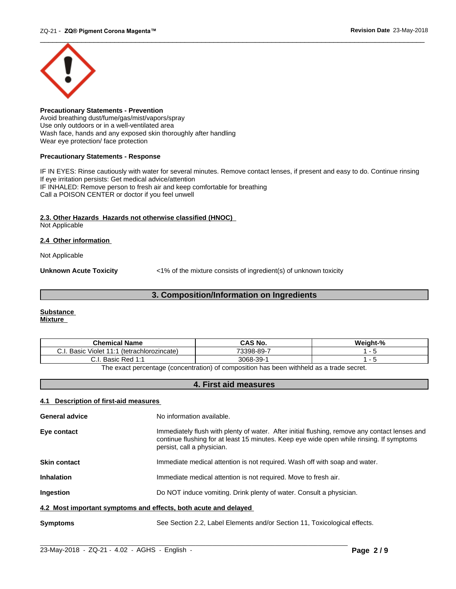

**Precautionary Statements - Prevention** Avoid breathing dust/fume/gas/mist/vapors/spray Use only outdoors or in a well-ventilated area Wash face, hands and any exposed skin thoroughly after handling Wear eye protection/ face protection

## **Precautionary Statements - Response**

IF IN EYES: Rinse cautiously with water for several minutes. Remove contact lenses, if present and easy to do. Continue rinsing If eye irritation persists: Get medical advice/attention IF INHALED: Remove person to fresh air and keep comfortable for breathing Call a POISON CENTER or doctor if you feel unwell

## **2.3. Other Hazards Hazards not otherwise classified (HNOC)**

Not Applicable

## **2.4 Other information**

Not Applicable

**Unknown Acute Toxicity**  $\langle 1\%$  of the mixture consists of ingredient(s) of unknown toxicity

## **3. Composition/Information on Ingredients**

#### **Substance Mixture**

| <b>Chemical Name</b>                                                                                   | CAS No.   | Weight-% |
|--------------------------------------------------------------------------------------------------------|-----------|----------|
| Basic<br>Violet<br>(tetrachlorozincate)<br>U.I                                                         | 73398-89- |          |
| Basic Red 1:1<br>◡.୲.                                                                                  | 3068-39-  |          |
| The contract concertainty for a contraction) of concertation has been contributed as a marshess contri |           |          |

The exact percentage (concentration) of composition has been withheld as a trade secret.

## **4. First aid measures**

## **4.1 Description of first-aid measures**

| <b>General advice</b>                                           | No information available.                                                                                                                                                                                               |
|-----------------------------------------------------------------|-------------------------------------------------------------------------------------------------------------------------------------------------------------------------------------------------------------------------|
| Eye contact                                                     | Immediately flush with plenty of water. After initial flushing, remove any contact lenses and<br>continue flushing for at least 15 minutes. Keep eye wide open while rinsing. If symptoms<br>persist, call a physician. |
| <b>Skin contact</b>                                             | Immediate medical attention is not required. Wash off with soap and water.                                                                                                                                              |
| <b>Inhalation</b>                                               | Immediate medical attention is not required. Move to fresh air.                                                                                                                                                         |
| <b>Ingestion</b>                                                | Do NOT induce vomiting. Drink plenty of water. Consult a physician.                                                                                                                                                     |
| 4.2 Most important symptoms and effects, both acute and delayed |                                                                                                                                                                                                                         |
| <b>Symptoms</b>                                                 | See Section 2.2, Label Elements and/or Section 11, Toxicological effects.                                                                                                                                               |

 $\_$  ,  $\_$  ,  $\_$  ,  $\_$  ,  $\_$  ,  $\_$  ,  $\_$  ,  $\_$  ,  $\_$  ,  $\_$  ,  $\_$  ,  $\_$  ,  $\_$  ,  $\_$  ,  $\_$  ,  $\_$  ,  $\_$  ,  $\_$  ,  $\_$  ,  $\_$  ,  $\_$  ,  $\_$  ,  $\_$  ,  $\_$  ,  $\_$  ,  $\_$  ,  $\_$  ,  $\_$  ,  $\_$  ,  $\_$  ,  $\_$  ,  $\_$  ,  $\_$  ,  $\_$  ,  $\_$  ,  $\_$  ,  $\_$  ,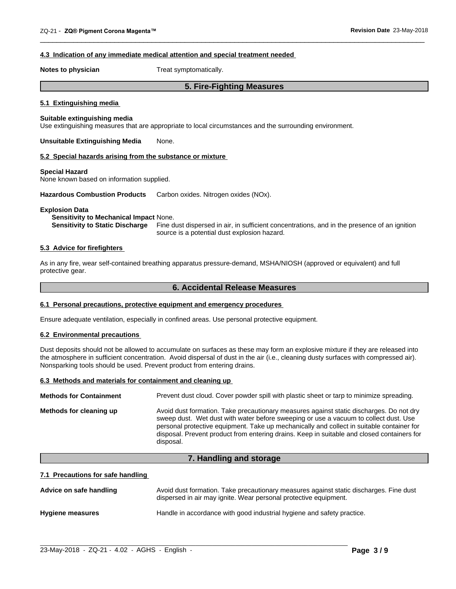### **4.3 Indication of any immediate medical attention and special treatment needed**

**Notes to physician** Treat symptomatically.

## **5. Fire-Fighting Measures**

 $\overline{\phantom{a}}$  ,  $\overline{\phantom{a}}$  ,  $\overline{\phantom{a}}$  ,  $\overline{\phantom{a}}$  ,  $\overline{\phantom{a}}$  ,  $\overline{\phantom{a}}$  ,  $\overline{\phantom{a}}$  ,  $\overline{\phantom{a}}$  ,  $\overline{\phantom{a}}$  ,  $\overline{\phantom{a}}$  ,  $\overline{\phantom{a}}$  ,  $\overline{\phantom{a}}$  ,  $\overline{\phantom{a}}$  ,  $\overline{\phantom{a}}$  ,  $\overline{\phantom{a}}$  ,  $\overline{\phantom{a}}$ 

## **5.1 Extinguishing media**

## **Suitable extinguishing media**

Use extinguishing measures that are appropriate to local circumstances and the surrounding environment.

**Unsuitable Extinguishing Media** None.

#### **5.2 Special hazards arising from the substance or mixture**

#### **Special Hazard**

None known based on information supplied.

**Hazardous Combustion Products** Carbon oxides. Nitrogen oxides (NOx).

#### **Explosion Data**

**Sensitivity to Mechanical Impact** None.

**Sensitivity to Static Discharge** Fine dust dispersed in air, in sufficient concentrations, and in the presence of an ignition source is a potential dust explosion hazard.

## **5.3 Advice for firefighters**

As in any fire, wear self-contained breathing apparatus pressure-demand, MSHA/NIOSH (approved or equivalent) and full protective gear.

## **6. Accidental Release Measures**

#### **6.1 Personal precautions, protective equipment and emergency procedures**

Ensure adequate ventilation, especially in confined areas. Use personal protective equipment.

## **6.2 Environmental precautions**

Dust deposits should not be allowed to accumulate on surfaces as these may form an explosive mixture if they are released into the atmosphere in sufficient concentration. Avoid dispersal of dust in the air (i.e., cleaning dusty surfaces with compressed air). Nonsparking tools should be used. Prevent product from entering drains.

## **6.3 Methods and materials for containment and cleaning up**

| <b>Methods for Containment</b> | Prevent dust cloud. Cover powder spill with plastic sheet or tarp to minimize spreading.                                                                                                                                                                                                                                                                                                |
|--------------------------------|-----------------------------------------------------------------------------------------------------------------------------------------------------------------------------------------------------------------------------------------------------------------------------------------------------------------------------------------------------------------------------------------|
| Methods for cleaning up        | Avoid dust formation. Take precautionary measures against static discharges. Do not dry<br>sweep dust. Wet dust with water before sweeping or use a vacuum to collect dust. Use<br>personal protective equipment. Take up mechanically and collect in suitable container for<br>disposal. Prevent product from entering drains. Keep in suitable and closed containers for<br>disposal. |

## **7. Handling and storage**

#### **7.1 Precautions for safe handling**

| Advice on safe handling | Avoid dust formation. Take precautionary measures against static discharges. Fine dust<br>dispersed in air may ignite. Wear personal protective equipment. |
|-------------------------|------------------------------------------------------------------------------------------------------------------------------------------------------------|
| <b>Hygiene measures</b> | Handle in accordance with good industrial hygiene and safety practice.                                                                                     |

 $\_$  ,  $\_$  ,  $\_$  ,  $\_$  ,  $\_$  ,  $\_$  ,  $\_$  ,  $\_$  ,  $\_$  ,  $\_$  ,  $\_$  ,  $\_$  ,  $\_$  ,  $\_$  ,  $\_$  ,  $\_$  ,  $\_$  ,  $\_$  ,  $\_$  ,  $\_$  ,  $\_$  ,  $\_$  ,  $\_$  ,  $\_$  ,  $\_$  ,  $\_$  ,  $\_$  ,  $\_$  ,  $\_$  ,  $\_$  ,  $\_$  ,  $\_$  ,  $\_$  ,  $\_$  ,  $\_$  ,  $\_$  ,  $\_$  ,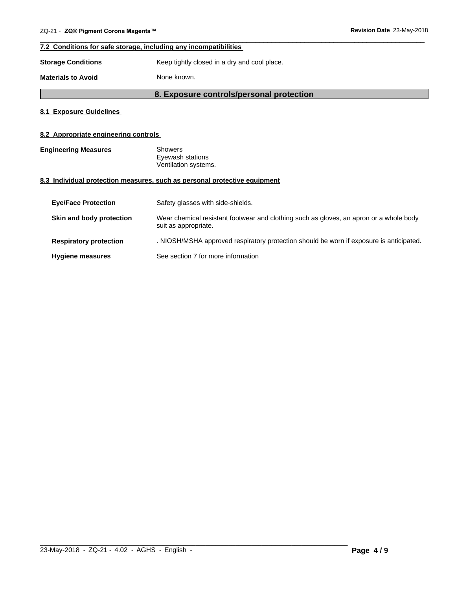## **7.2 Conditions for safe storage, including any incompatibilities**

**Storage Conditions** Keep tightly closed in a dry and cool place.

**Materials to Avoid** None known.

## **8. Exposure controls/personal protection**

 $\overline{\phantom{a}}$  ,  $\overline{\phantom{a}}$  ,  $\overline{\phantom{a}}$  ,  $\overline{\phantom{a}}$  ,  $\overline{\phantom{a}}$  ,  $\overline{\phantom{a}}$  ,  $\overline{\phantom{a}}$  ,  $\overline{\phantom{a}}$  ,  $\overline{\phantom{a}}$  ,  $\overline{\phantom{a}}$  ,  $\overline{\phantom{a}}$  ,  $\overline{\phantom{a}}$  ,  $\overline{\phantom{a}}$  ,  $\overline{\phantom{a}}$  ,  $\overline{\phantom{a}}$  ,  $\overline{\phantom{a}}$ 

## **8.1 Exposure Guidelines**

## **8.2 Appropriate engineering controls**

| <b>Engineering Measures</b> | Showers              |  |
|-----------------------------|----------------------|--|
|                             | Eyewash stations     |  |
|                             | Ventilation systems. |  |

## **8.3 Individual protection measures, such as personal protective equipment**

| <b>Eye/Face Protection</b>    | Safety glasses with side-shields.                                                                              |
|-------------------------------|----------------------------------------------------------------------------------------------------------------|
| Skin and body protection      | Wear chemical resistant footwear and clothing such as gloves, an apron or a whole body<br>suit as appropriate. |
| <b>Respiratory protection</b> | . NIOSH/MSHA approved respiratory protection should be worn if exposure is anticipated.                        |
| <b>Hygiene measures</b>       | See section 7 for more information                                                                             |

 $\_$  ,  $\_$  ,  $\_$  ,  $\_$  ,  $\_$  ,  $\_$  ,  $\_$  ,  $\_$  ,  $\_$  ,  $\_$  ,  $\_$  ,  $\_$  ,  $\_$  ,  $\_$  ,  $\_$  ,  $\_$  ,  $\_$  ,  $\_$  ,  $\_$  ,  $\_$  ,  $\_$  ,  $\_$  ,  $\_$  ,  $\_$  ,  $\_$  ,  $\_$  ,  $\_$  ,  $\_$  ,  $\_$  ,  $\_$  ,  $\_$  ,  $\_$  ,  $\_$  ,  $\_$  ,  $\_$  ,  $\_$  ,  $\_$  ,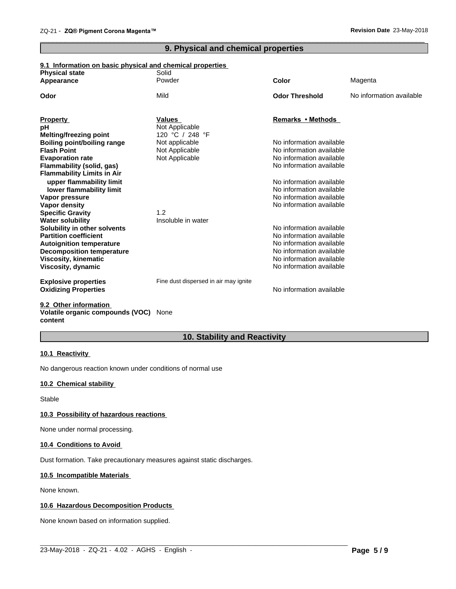## **9. Physical and chemical properties**

 $\overline{\phantom{a}}$  ,  $\overline{\phantom{a}}$  ,  $\overline{\phantom{a}}$  ,  $\overline{\phantom{a}}$  ,  $\overline{\phantom{a}}$  ,  $\overline{\phantom{a}}$  ,  $\overline{\phantom{a}}$  ,  $\overline{\phantom{a}}$  ,  $\overline{\phantom{a}}$  ,  $\overline{\phantom{a}}$  ,  $\overline{\phantom{a}}$  ,  $\overline{\phantom{a}}$  ,  $\overline{\phantom{a}}$  ,  $\overline{\phantom{a}}$  ,  $\overline{\phantom{a}}$  ,  $\overline{\phantom{a}}$ 

## **9.1 Information on basic physical and chemical properties**

| <b>Physical state</b>              | Solid                                 |                          |                          |
|------------------------------------|---------------------------------------|--------------------------|--------------------------|
| Appearance                         | Powder                                | Color                    | Magenta                  |
| Odor                               | Mild                                  | <b>Odor Threshold</b>    | No information available |
| <b>Property</b>                    | <b>Values</b>                         | Remarks • Methods        |                          |
| рH                                 | Not Applicable                        |                          |                          |
| <b>Melting/freezing point</b>      | 120 °C / 248 °F                       |                          |                          |
| <b>Boiling point/boiling range</b> | Not applicable                        | No information available |                          |
| <b>Flash Point</b>                 | Not Applicable                        | No information available |                          |
| <b>Evaporation rate</b>            | Not Applicable                        | No information available |                          |
| <b>Flammability (solid, gas)</b>   |                                       | No information available |                          |
| <b>Flammability Limits in Air</b>  |                                       |                          |                          |
| upper flammability limit           |                                       | No information available |                          |
| lower flammability limit           |                                       | No information available |                          |
| Vapor pressure                     |                                       | No information available |                          |
| Vapor density                      |                                       | No information available |                          |
| <b>Specific Gravity</b>            | 1.2                                   |                          |                          |
| <b>Water solubility</b>            | Insoluble in water                    |                          |                          |
| Solubility in other solvents       |                                       | No information available |                          |
| <b>Partition coefficient</b>       |                                       | No information available |                          |
| <b>Autoignition temperature</b>    |                                       | No information available |                          |
| <b>Decomposition temperature</b>   |                                       | No information available |                          |
| Viscosity, kinematic               |                                       | No information available |                          |
| Viscosity, dynamic                 |                                       | No information available |                          |
| <b>Explosive properties</b>        | Fine dust dispersed in air may ignite |                          |                          |
| <b>Oxidizing Properties</b>        |                                       | No information available |                          |
| 0.0. Other information             |                                       |                          |                          |

#### **9.2 Other information Volatile organic compounds (VOC)** None **content**

## **10. Stability and Reactivity**

## **10.1 Reactivity**

No dangerous reaction known under conditions of normal use

## **10.2 Chemical stability**

Stable

#### **10.3 Possibility of hazardous reactions**

None under normal processing.

## **10.4 Conditions to Avoid**

Dust formation. Take precautionary measures against static discharges.

## **10.5 Incompatible Materials**

None known.

## **10.6 Hazardous Decomposition Products**

None known based on information supplied.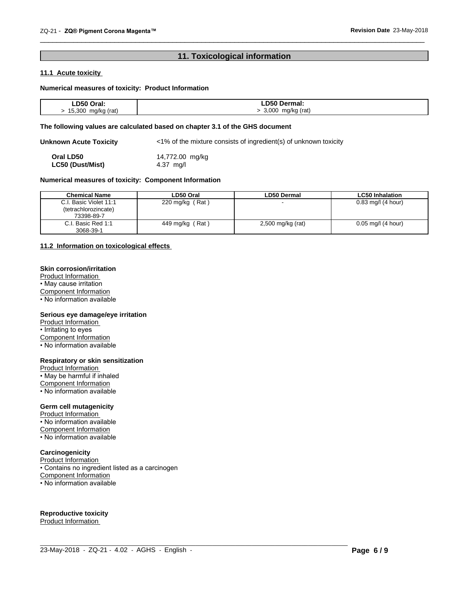## **11. Toxicological information**

 $\overline{\phantom{a}}$  ,  $\overline{\phantom{a}}$  ,  $\overline{\phantom{a}}$  ,  $\overline{\phantom{a}}$  ,  $\overline{\phantom{a}}$  ,  $\overline{\phantom{a}}$  ,  $\overline{\phantom{a}}$  ,  $\overline{\phantom{a}}$  ,  $\overline{\phantom{a}}$  ,  $\overline{\phantom{a}}$  ,  $\overline{\phantom{a}}$  ,  $\overline{\phantom{a}}$  ,  $\overline{\phantom{a}}$  ,  $\overline{\phantom{a}}$  ,  $\overline{\phantom{a}}$  ,  $\overline{\phantom{a}}$ 

## **11.1 Acute toxicity**

## **Numerical measures of toxicity: Product Information**

| ∟D50<br>Oral:                  | .⊿ח ∩5ר<br>Dermal:                             |
|--------------------------------|------------------------------------------------|
| 15.300<br>mg/kg (rat)<br>ل ڪ ت | 3,000<br>mg/kg<br>(rat)<br>$\mathbf{r}$<br>. . |

## **The following values are calculated based on chapter 3.1 of the GHS document**

**Unknown Acute Toxicity** <1% of the mixture consists of ingredient(s) of unknown toxicity **Oral LD50** 14,772.00 mg/kg<br> **LC50 (Dust/Mist)** 4.37 mg/l **LC50** (Dust/Mist)

## **Numerical measures of toxicity: Component Information**

| <b>Chemical Name</b>   | LD50 Oral         | LD50 Dermal         | <b>LC50 Inhalation</b> |
|------------------------|-------------------|---------------------|------------------------|
| C.I. Basic Violet 11:1 | 220 mg/kg $(Rat)$ |                     | $0.83$ mg/l (4 hour)   |
| (tetrachlorozincate)   |                   |                     |                        |
| 73398-89-7             |                   |                     |                        |
| C.I. Basic Red 1:1     | 449 mg/kg (Rat)   | $2,500$ mg/kg (rat) | $0.05$ mg/l (4 hour)   |
| 3068-39-1              |                   |                     |                        |

 $\_$  ,  $\_$  ,  $\_$  ,  $\_$  ,  $\_$  ,  $\_$  ,  $\_$  ,  $\_$  ,  $\_$  ,  $\_$  ,  $\_$  ,  $\_$  ,  $\_$  ,  $\_$  ,  $\_$  ,  $\_$  ,  $\_$  ,  $\_$  ,  $\_$  ,  $\_$  ,  $\_$  ,  $\_$  ,  $\_$  ,  $\_$  ,  $\_$  ,  $\_$  ,  $\_$  ,  $\_$  ,  $\_$  ,  $\_$  ,  $\_$  ,  $\_$  ,  $\_$  ,  $\_$  ,  $\_$  ,  $\_$  ,  $\_$  ,

## **11.2 Information on toxicologicaleffects**

#### **Skin corrosion/irritation**

Product Information • May cause irritation Component Information • No information available

## **Serious eye damage/eye irritation**

Product Information • Irritating to eyes Component Information • No information available

#### **Respiratory or skin sensitization**

Product Information • May be harmful if inhaled Component Information • No information available

#### **Germ cell mutagenicity**

Product Information • No information available Component Information • No information available

## **Carcinogenicity**

Product Information • Contains no ingredient listed as a carcinogen Component Information • No information available

## **Reproductive toxicity**

Product Information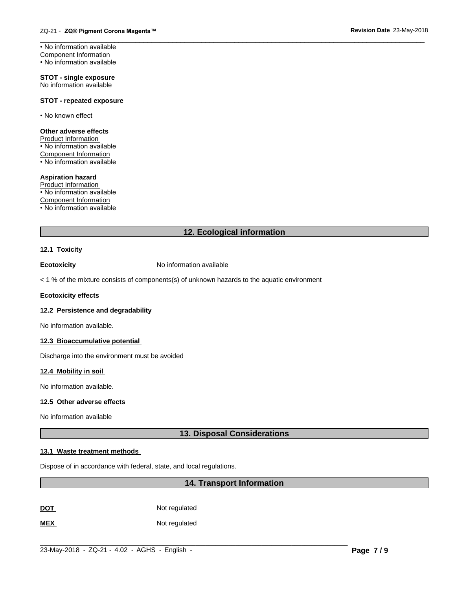**STOT - single exposure** No information available

## **STOT - repeated exposure**

• No known effect

#### **Other adverse effects** Product Information • No information available Component Information  $\cdot$  No information available

## **Aspiration hazard**

Product Information • No information available Component Information • No information available

## **12. Ecological information**

## **12.1 Toxicity**

**Ecotoxicity No information available** 

 $<$  1 % of the mixture consists of components(s) of unknown hazards to the aquatic environment

#### **Ecotoxicity effects**

## **12.2 Persistence and degradability**

No information available.

## **12.3 Bioaccumulative potential**

Discharge into the environment must be avoided

## **12.4 Mobility in soil**

No information available.

## **12.5 Other adverse effects**

No information available

## **13. Disposal Considerations**

## **13.1 Waste treatment methods**

Dispose of in accordance with federal, state, and local regulations.

## **14. Transport Information**

**DOT** Not regulated

**MEX** Not regulated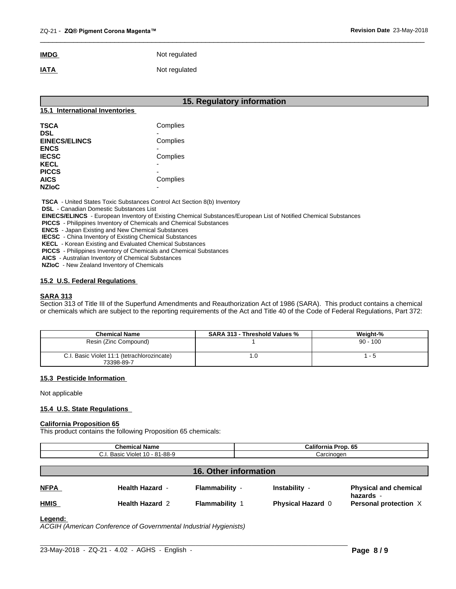## **IMDG** Not regulated **IATA** Not regulated

| 15. Regulatory information     |          |  |
|--------------------------------|----------|--|
| 15.1 International Inventories |          |  |
| <b>TSCA</b>                    | Complies |  |
| <b>DSL</b>                     |          |  |
| <b>EINECS/ELINCS</b>           | Complies |  |
| <b>ENCS</b>                    | -        |  |
| <b>IECSC</b>                   | Complies |  |
| <b>KECL</b>                    | ۰        |  |
| <b>PICCS</b>                   | -        |  |
| <b>AICS</b>                    | Complies |  |
| <b>NZIoC</b>                   | -        |  |

 $\overline{\phantom{a}}$  ,  $\overline{\phantom{a}}$  ,  $\overline{\phantom{a}}$  ,  $\overline{\phantom{a}}$  ,  $\overline{\phantom{a}}$  ,  $\overline{\phantom{a}}$  ,  $\overline{\phantom{a}}$  ,  $\overline{\phantom{a}}$  ,  $\overline{\phantom{a}}$  ,  $\overline{\phantom{a}}$  ,  $\overline{\phantom{a}}$  ,  $\overline{\phantom{a}}$  ,  $\overline{\phantom{a}}$  ,  $\overline{\phantom{a}}$  ,  $\overline{\phantom{a}}$  ,  $\overline{\phantom{a}}$ 

 **TSCA** - United States Toxic Substances Control Act Section 8(b) Inventory

 **DSL** - Canadian Domestic Substances List

 **EINECS/ELINCS** - European Inventory of Existing Chemical Substances/European List of Notified Chemical Substances

 **PICCS** - Philippines Inventory of Chemicals and Chemical Substances

 **ENCS** - Japan Existing and New Chemical Substances

 **IECSC** - China Inventory of Existing Chemical Substances

 **KECL** - Korean Existing and Evaluated Chemical Substances

 **PICCS** - Philippines Inventory of Chemicals and Chemical Substances

 **AICS** - Australian Inventory of Chemical Substances

 **NZIoC** - New Zealand Inventory of Chemicals

## **15.2 U.S. Federal Regulations**

## **SARA 313**

Section 313 of Title III of the Superfund Amendments and Reauthorization Act of 1986 (SARA). This product contains a chemical or chemicals which are subject to the reporting requirements of the Act and Title 40 of the Code of Federal Regulations, Part 372:

| <b>Chemical Name</b>                                      | <b>SARA 313 - Threshold Values %</b> | Weight-%   |
|-----------------------------------------------------------|--------------------------------------|------------|
| Resin (Zinc Compound)                                     |                                      | $90 - 100$ |
| C.I. Basic Violet 11:1 (tetrachlorozincate)<br>73398-89-7 | ∣.∪                                  |            |

## **15.3 Pesticide Information**

Not applicable

## **15.4 U.S. State Regulations**

#### **California Proposition 65**

This product contains the following Proposition 65 chemicals:

| .<br><b>Chemical</b><br>' Name                    | California<br>Prop. 65 |
|---------------------------------------------------|------------------------|
| $10 - 81 - 88 - 9$<br>~<br>Violet<br>501<br>odsit | ∴arcinoαer             |
|                                                   |                        |

## **16. Other information NFPA Health Hazard** - **Flammability** - **Instability** - **Physical and chemical hazards** - **HMIS Health Hazard** 2 **Flammability** 1 **Physical Hazard** 0 **Personal protection** X

## **Legend:**

*ACGIH (American Conference of Governmental Industrial Hygienists)*